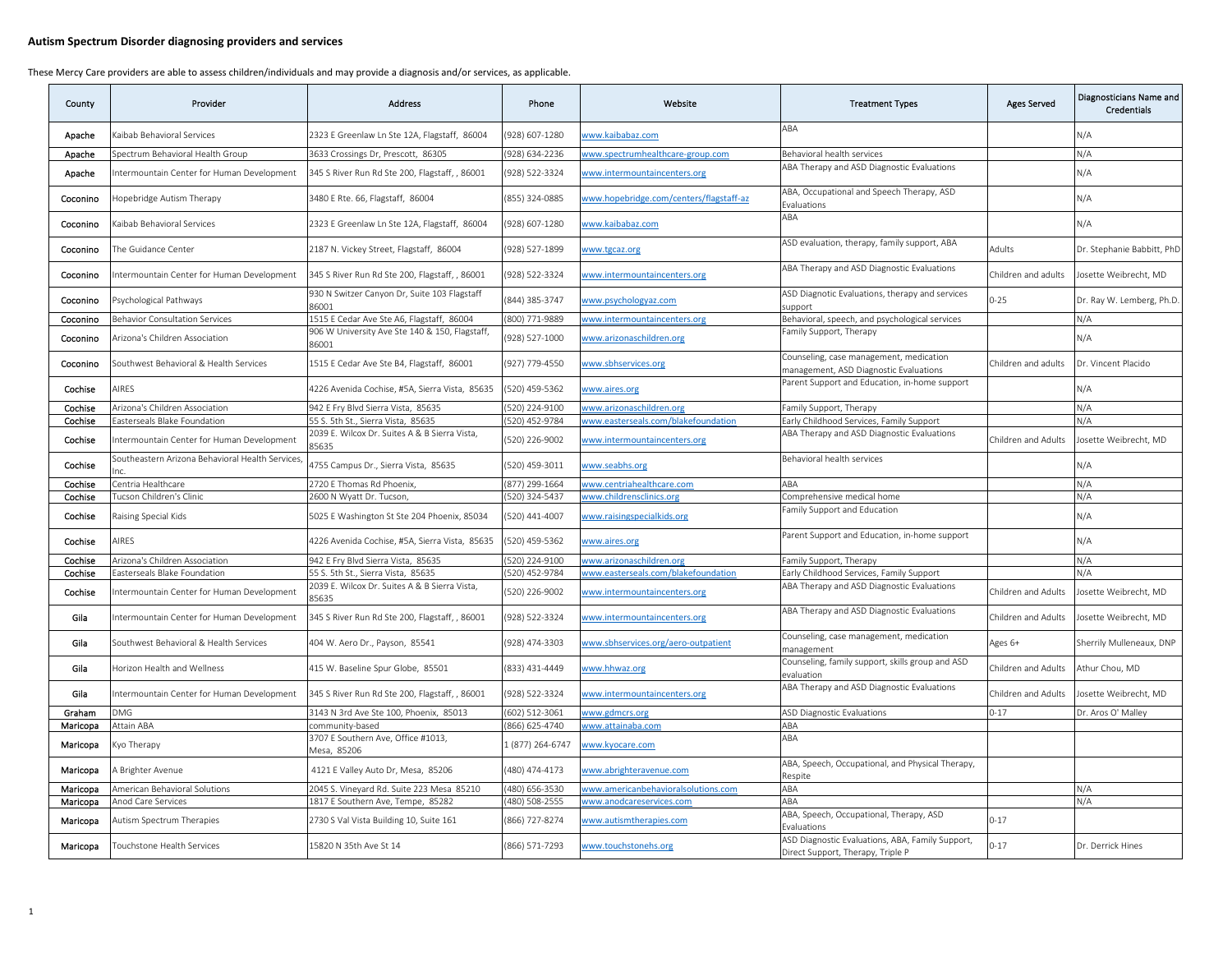| County   | Provider                                         | <b>Address</b>                                          | Phone            | Website                                 | <b>Treatment Types</b>                                                                | <b>Ages Served</b>  | Diagnosticians Name and<br><b>Credentials</b> |
|----------|--------------------------------------------------|---------------------------------------------------------|------------------|-----------------------------------------|---------------------------------------------------------------------------------------|---------------------|-----------------------------------------------|
| Apache   | Kaibab Behavioral Services                       | 2323 E Greenlaw Ln Ste 12A, Flagstaff, 86004            | (928) 607-1280   | www.kaibabaz.com                        | ABA                                                                                   |                     | N/A                                           |
| Apache   | Spectrum Behavioral Health Group                 | 3633 Crossings Dr, Prescott, 86305                      | (928) 634-2236   | www.spectrumhealthcare-group.com        | Behavioral health services                                                            |                     | N/A                                           |
| Apache   | Intermountain Center for Human Development       | 345 S River Run Rd Ste 200, Flagstaff, , 86001          | (928) 522-3324   | www.intermountaincenters.org            | ABA Therapy and ASD Diagnostic Evaluations                                            |                     | N/A                                           |
| Coconino | Hopebridge Autism Therapy                        | 3480 E Rte. 66, Flagstaff, 86004                        | (855) 324-0885   | www.hopebridge.com/centers/flagstaff-az | ABA, Occupational and Speech Therapy, ASD<br>Evaluations                              |                     | N/A                                           |
| Coconino | Kaibab Behavioral Services                       | 2323 E Greenlaw Ln Ste 12A, Flagstaff, 86004            | (928) 607-1280   | www.kaibabaz.com                        | ABA                                                                                   |                     | N/A                                           |
| Coconino | The Guidance Center                              | 2187 N. Vickey Street, Flagstaff, 86004                 | (928) 527-1899   | www.tgcaz.org                           | ASD evaluation, therapy, family support, ABA                                          | Adults              | Dr. Stephanie Babbitt, PhD                    |
| Coconino | ntermountain Center for Human Development        | 345 S River Run Rd Ste 200, Flagstaff, , 86001          | (928) 522-3324   | www.intermountaincenters.org            | ABA Therapy and ASD Diagnostic Evaluations                                            | Children and adults | Josette Weibrecht, MD                         |
| Coconino | 'sychological Pathways                           | 930 N Switzer Canyon Dr, Suite 103 Flagstaff<br>86001   | (844) 385-3747   | www.psychologyaz.com                    | ASD Diagnotic Evaluations, therapy and services<br>support                            | $0 - 25$            | Dr. Ray W. Lemberg, Ph.D.                     |
| Coconino | Behavior Consultation Services                   | 1515 E Cedar Ave Ste A6, Flagstaff, 86004               | (800) 771-9889   | www.intermountaincenters.org            | Behavioral, speech, and psychological services                                        |                     | N/A                                           |
| Coconino | Arizona's Children Association                   | 906 W University Ave Ste 140 & 150, Flagstaff,<br>86001 | (928) 527-1000   | www.arizonaschildren.org                | amily Support, Therapy                                                                |                     | N/A                                           |
| Coconino | Southwest Behavioral & Health Services           | 1515 E Cedar Ave Ste B4, Flagstaff, 86001               | (927) 779-4550   | www.sbhservices.org                     | Counseling, case management, medication<br>management, ASD Diagnostic Evaluations     | Children and adults | Dr. Vincent Placido                           |
| Cochise  | AIRES                                            | 4226 Avenida Cochise, #5A, Sierra Vista, 85635          | (520) 459-5362   | www.aires.org                           | Parent Support and Education, in-home support                                         |                     | N/A                                           |
| Cochise  | Arizona's Children Association                   | 942 E Fry Blvd Sierra Vista, 85635                      | (520) 224-9100   | www.arizonaschildren.org                | Family Support, Therapy                                                               |                     | N/A                                           |
| Cochise  | Easterseals Blake Foundation                     | 55 S. 5th St., Sierra Vista, 85635                      | (520) 452-9784   | www.easterseals.com/blakefoundation     | Early Childhood Services, Family Support                                              |                     | N/A                                           |
| Cochise  | Intermountain Center for Human Development       | 2039 E. Wilcox Dr. Suites A & B Sierra Vista,<br>35635  | (520) 226-9002   | www.intermountaincenters.org            | ABA Therapy and ASD Diagnostic Evaluations                                            | Children and Adults | Josette Weibrecht, MD                         |
| Cochise  | Southeastern Arizona Behavioral Health Services, | 4755 Campus Dr., Sierra Vista, 85635                    | (520) 459-3011   | www.seabhs.org                          | Behavioral health services                                                            |                     | N/A                                           |
| Cochise  | Centria Healthcare                               | 2720 E Thomas Rd Phoenix.                               | (877) 299-1664   | www.centriahealthcare.com               | ABA                                                                                   |                     | N/A                                           |
| Cochise  | ucson Children's Clinic                          | 600 N Wyatt Dr. Tucson,                                 | 520) 324-5437    | www.childrensclinics.org                | Comprehensive medical home                                                            |                     | N/A                                           |
| Cochise  | Raising Special Kids                             | 5025 E Washington St Ste 204 Phoenix, 85034             | (520) 441-4007   | www.raisingspecialkids.org              | amily Support and Education                                                           |                     | N/A                                           |
| Cochise  | AIRES                                            | 4226 Avenida Cochise, #5A, Sierra Vista, 85635          | (520) 459-5362   | www.aires.org                           | Parent Support and Education, in-home support                                         |                     | N/A                                           |
| Cochise  | Arizona's Children Association                   | 942 E Fry Blvd Sierra Vista, 85635                      | (520) 224-9100   | www.arizonaschildren.org                | Family Support, Therapy                                                               |                     | N/A                                           |
| Cochise  | Easterseals Blake Foundation                     | 55 S. 5th St., Sierra Vista, 85635                      | (520) 452-9784   | www.easterseals.com/blakefoundation     | Early Childhood Services, Family Support                                              |                     | N/A                                           |
| Cochise  | Intermountain Center for Human Development       | 2039 E. Wilcox Dr. Suites A & B Sierra Vista,<br>85635  | (520) 226-9002   | www.intermountaincenters.org            | ABA Therapy and ASD Diagnostic Evaluations                                            | Children and Adults | Josette Weibrecht, MD                         |
| Gila     | Intermountain Center for Human Development       | 345 S River Run Rd Ste 200, Flagstaff, , 86001          | (928) 522-3324   | www.intermountaincenters.org            | ABA Therapy and ASD Diagnostic Evaluations                                            | Children and Adults | Josette Weibrecht, MD                         |
| Gila     | Southwest Behavioral & Health Services           | 404 W. Aero Dr., Payson, 85541                          | (928) 474-3303   | www.sbhservices.org/aero-outpatient     | Counseling, case management, medication<br>management                                 | Ages 6+             | Sherrily Mulleneaux, DNP                      |
| Gila     | Horizon Health and Wellness                      | 415 W. Baseline Spur Globe, 85501                       | (833) 431-4449   | www.hhwaz.org                           | Counseling, family support, skills group and ASD<br>evaluation                        | Children and Adults | Athur Chou, MD                                |
| Gila     | Intermountain Center for Human Development       | 345 S River Run Rd Ste 200, Flagstaff, , 86001          | (928) 522-3324   | www.intermountaincenters.org            | ABA Therapy and ASD Diagnostic Evaluations                                            | Children and Adults | Josette Weibrecht, MD                         |
| Graham   | DMG                                              | 3143 N 3rd Ave Ste 100, Phoenix, 85013                  | (602) 512-3061   | www.gdmcrs.org                          | <b>ASD Diagnostic Evaluations</b>                                                     | $0 - 17$            | Dr. Aros O' Malley                            |
| Maricopa | Attain ABA                                       | community-based                                         | 866) 625-4740    | www.attainaba.com                       | ABA                                                                                   |                     |                                               |
| Maricopa | Kyo Therapy                                      | 3707 E Southern Ave, Office #1013,<br>Mesa, 85206       | 1 (877) 264-6747 | www.kyocare.com                         | ABA                                                                                   |                     |                                               |
| Maricopa | A Brighter Avenue                                | 4121 E Valley Auto Dr, Mesa, 85206                      | (480) 474-4173   | www.abrighteravenue.com                 | ABA, Speech, Occupational, and Physical Therapy,<br>Respite                           |                     |                                               |
| Maricopa | American Behavioral Solutions                    | 2045 S. Vineyard Rd. Suite 223 Mesa 85210               | 480) 656-3530    | www.americanbehavioralsolutions.com     | ABA                                                                                   |                     | N/A                                           |
| Maricopa | Anod Care Services                               | 1817 E Southern Ave, Tempe, 85282                       | (480) 508-2555   | www.anodcareservices.com                | ABA                                                                                   |                     | N/A                                           |
| Maricopa | Autism Spectrum Therapies                        | 2730 S Val Vista Building 10, Suite 161                 | (866) 727-8274   | www.autismtherapies.com                 | ABA, Speech, Occupational, Therapy, ASD<br>Evaluations                                | $0 - 17$            |                                               |
| Maricopa | Touchstone Health Services                       | 15820 N 35th Ave St 14                                  | (866) 571-7293   | www.touchstonehs.org                    | ASD Diagnostic Evaluations, ABA, Family Support,<br>Direct Support, Therapy, Triple P | $0 - 17$            | Dr. Derrick Hines                             |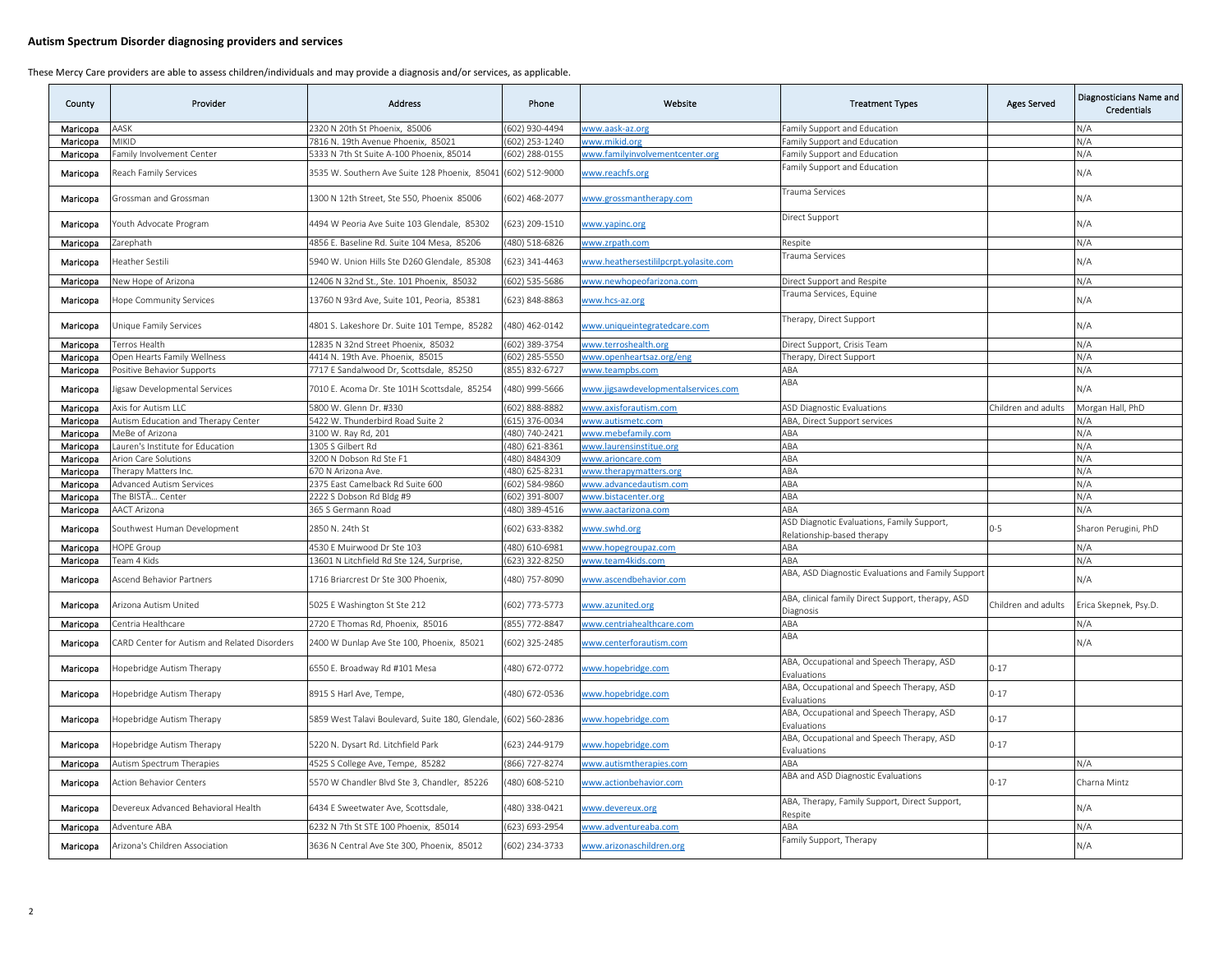| County   | Provider                                     | <b>Address</b>                                   | Phone          | Website                               | <b>Treatment Types</b>                                                   | <b>Ages Served</b>  | Diagnosticians Name and<br><b>Credentials</b> |
|----------|----------------------------------------------|--------------------------------------------------|----------------|---------------------------------------|--------------------------------------------------------------------------|---------------------|-----------------------------------------------|
| Maricopa | ASK                                          | 2320 N 20th St Phoenix, 85006                    | 602) 930-4494  | vww.aask-az.org                       | amily Support and Education                                              |                     | N/A                                           |
| Maricopa | <b>AIKID</b>                                 | 7816 N. 19th Avenue Phoenix, 85021               | 602) 253-1240  | www.mikid.org                         | amily Support and Education                                              |                     | N/A                                           |
| Maricopa | amily Involvement Center                     | 5333 N 7th St Suite A-100 Phoenix, 85014         | (602) 288-0155 | www.familyinvolvementcenter.org       | Family Support and Education                                             |                     | N/A                                           |
| Maricopa | Reach Family Services                        | 3535 W. Southern Ave Suite 128 Phoenix, 85041    | (602) 512-9000 | www.reachfs.org                       | Family Support and Education                                             |                     | N/A                                           |
| Maricopa | Grossman and Grossman                        | 1300 N 12th Street, Ste 550, Phoenix 85006       | (602) 468-2077 | www.grossmantherapy.com               | <b>Trauma Services</b>                                                   |                     | N/A                                           |
| Maricopa | Youth Advocate Program                       | 1494 W Peoria Ave Suite 103 Glendale, 85302      | 623) 209-1510  | www.yapinc.org                        | Direct Support                                                           |                     | N/A                                           |
| Maricopa | Zarephath                                    | 4856 E. Baseline Rd. Suite 104 Mesa, 85206       | (480) 518-6826 | www.zrpath.com                        | Respite                                                                  |                     | N/A                                           |
| Maricopa | Heather Sestili                              | 5940 W. Union Hills Ste D260 Glendale, 85308     | 623) 341-4463  | www.heathersestililpcrpt.yolasite.com | Frauma Services                                                          |                     | N/A                                           |
| Maricopa | Vew Hope of Arizona                          | 12406 N 32nd St., Ste. 101 Phoenix, 85032        | (602) 535-5686 | www.newhopeofarizona.com              | Direct Support and Respite                                               |                     | N/A                                           |
| Maricopa | lope Community Services                      | 13760 N 93rd Ave, Suite 101, Peoria, 85381       | (623) 848-8863 | vww.hcs-az.org                        | Frauma Services, Equine                                                  |                     | N/A                                           |
| Maricopa | Unique Family Services                       | 4801 S. Lakeshore Dr. Suite 101 Tempe, 85282     | (480) 462-0142 | www.uniqueintegratedcare.com          | Therapy, Direct Support                                                  |                     | N/A                                           |
| Maricopa | Ferros Health                                | 12835 N 32nd Street Phoenix, 85032               | 602) 389-3754  | www.terroshealth.org                  | Direct Support, Crisis Team                                              |                     | N/A                                           |
| Maricopa | Ipen Hearts Family Wellness                  | 4414 N. 19th Ave. Phoenix, 85015                 | 602) 285-5550  | vww.openheartsaz.org/eng              | Therapy, Direct Support                                                  |                     | N/A                                           |
| Maricopa | Positive Behavior Supports                   | 7717 E Sandalwood Dr, Scottsdale, 85250          | 855) 832-6727  | www.teampbs.com                       | ABA                                                                      |                     | N/A                                           |
| Maricopa | igsaw Developmental Services                 | 7010 E. Acoma Dr. Ste 101H Scottsdale, 85254     | 480) 999-5666  | www.jigsawdevelopmentalservices.com   | ABA                                                                      |                     | N/A                                           |
| Maricopa | Axis for Autism LLC                          | 5800 W. Glenn Dr. #330                           | (602) 888-8882 | www.axisforautism.com                 | <b>ASD Diagnostic Evaluations</b>                                        | Children and adults | Morgan Hall, PhD                              |
| Maricopa | Autism Education and Therapy Center          | 5422 W. Thunderbird Road Suite 2                 | (615) 376-0034 | www.autismetc.com                     | ABA, Direct Support services                                             |                     | N/A                                           |
| Maricopa | MeBe of Arizona                              | 3100 W. Ray Rd, 201                              | (480) 740-2421 | www.mebefamily.com                    | ABA                                                                      |                     | N/A                                           |
| Maricopa | auren's Institute for Education              | 1305 S Gilbert Rd                                | 480) 621-8361  | www.laurensinstitue.org               | ABA                                                                      |                     | N/A                                           |
| Maricopa | Arion Care Solutions                         | 3200 N Dobson Rd Ste F1                          | 480) 8484309   | www.arioncare.com                     | ABA                                                                      |                     | N/A                                           |
| Maricopa | herapy Matters Inc.                          | 570 N Arizona Ave                                | 480) 625-8231  | www.therapymatters.org                | ABA                                                                      |                     | N/A                                           |
| Maricopa | Advanced Autism Services                     | 2375 East Camelback Rd Suite 600                 | 602) 584-9860  | www.advancedautism.com                | ABA                                                                      |                     | N/A                                           |
| Maricopa | he BISTÃ Center                              | 2222 S Dobson Rd Bldg #9                         | 602) 391-8007  | www.bistacenter.org                   | ABA                                                                      |                     | N/A                                           |
| Maricopa | AACT Arizona                                 | 365 S Germann Road                               | (480) 389-4516 | www.aactarizona.com                   | ABA                                                                      |                     | N/A                                           |
| Maricopa | Southwest Human Development                  | 2850 N. 24th St                                  | (602) 633-8382 | www.swhd.org                          | ASD Diagnotic Evaluations, Family Support,<br>Relationship-based therapy | $0 - 5$             | Sharon Perugini, PhD                          |
| Maricopa | <b>IOPE Group</b>                            | 4530 E Muirwood Dr Ste 103                       | (480) 610-6981 | www.hopegroupaz.com                   | ABA                                                                      |                     | N/A                                           |
| Maricopa | eam 4 Kids                                   | 13601 N Litchfield Rd Ste 124, Surprise,         | 623) 322-8250  | vww.team4kids.com                     | ABA                                                                      |                     | N/A                                           |
| Maricopa | Ascend Behavior Partners                     | 1716 Briarcrest Dr Ste 300 Phoenix,              | (480) 757-8090 | www.ascendbehavior.com                | ABA, ASD Diagnostic Evaluations and Family Support                       |                     | N/A                                           |
| Maricopa | Arizona Autism United                        | 5025 E Washington St Ste 212                     | 602) 773-5773  | www.azunited.org                      | ABA, clinical family Direct Support, therapy, ASD<br>Diagnosis           | Children and adults | Erica Skepnek, Psy.D.                         |
| Maricopa | Centria Healthcare                           | 2720 E Thomas Rd, Phoenix, 85016                 | (855) 772-8847 | www.centriahealthcare.com             | ABA                                                                      |                     | N/A                                           |
| Maricopa | CARD Center for Autism and Related Disorders | 2400 W Dunlap Ave Ste 100, Phoenix, 85021        | (602) 325-2485 | www.centerforautism.com               | ABA                                                                      |                     | N/A                                           |
| Maricopa | Hopebridge Autism Therapy                    | 5550 E. Broadway Rd #101 Mesa                    | (480) 672-0772 | ww.hopebridge.com                     | ABA, Occupational and Speech Therapy, ASD<br>Evaluations                 | $0 - 17$            |                                               |
| Maricopa | Iopebridge Autism Therapy                    | 8915 S Harl Ave, Tempe,                          | (480) 672-0536 | www.hopebridge.com                    | ABA, Occupational and Speech Therapy, ASD<br>Evaluations                 | $0 - 17$            |                                               |
| Maricopa | Hopebridge Autism Therapy                    | 5859 West Talavi Boulevard, Suite 180, Glendale, | (602) 560-2836 | www.hopebridge.com                    | ABA, Occupational and Speech Therapy, ASD<br>Evaluations                 | $0 - 17$            |                                               |
| Maricopa | Hopebridge Autism Therapy                    | 5220 N. Dysart Rd. Litchfield Park               | (623) 244-9179 | www.hopebridge.com                    | ABA, Occupational and Speech Therapy, ASD<br>Evaluations                 | $0 - 17$            |                                               |
| Maricopa | Autism Spectrum Therapies                    | 4525 S College Ave, Tempe, 85282                 | (866) 727-8274 | www.autismtherapies.com               | ABA                                                                      |                     | N/A                                           |
| Maricopa | Action Behavior Centers                      | 5570 W Chandler Blvd Ste 3, Chandler, 85226      | 480) 608-5210  | vww.actionbehavior.com                | ABA and ASD Diagnostic Evaluations                                       | $0 - 17$            | Charna Mintz                                  |
| Maricopa | Devereux Advanced Behavioral Health          | 6434 E Sweetwater Ave, Scottsdale,               | (480) 338-0421 | www.devereux.org                      | ABA, Therapy, Family Support, Direct Support,<br>Respite                 |                     | N/A                                           |
| Maricopa | Adventure ABA                                | 6232 N 7th St STE 100 Phoenix, 85014             | (623) 693-2954 | www.adventureaba.com                  | ABA                                                                      |                     | N/A                                           |
| Maricopa | Arizona's Children Association               | 3636 N Central Ave Ste 300, Phoenix, 85012       | (602) 234-3733 | www.arizonaschildren.org              | amily Support, Therapy                                                   |                     | N/A                                           |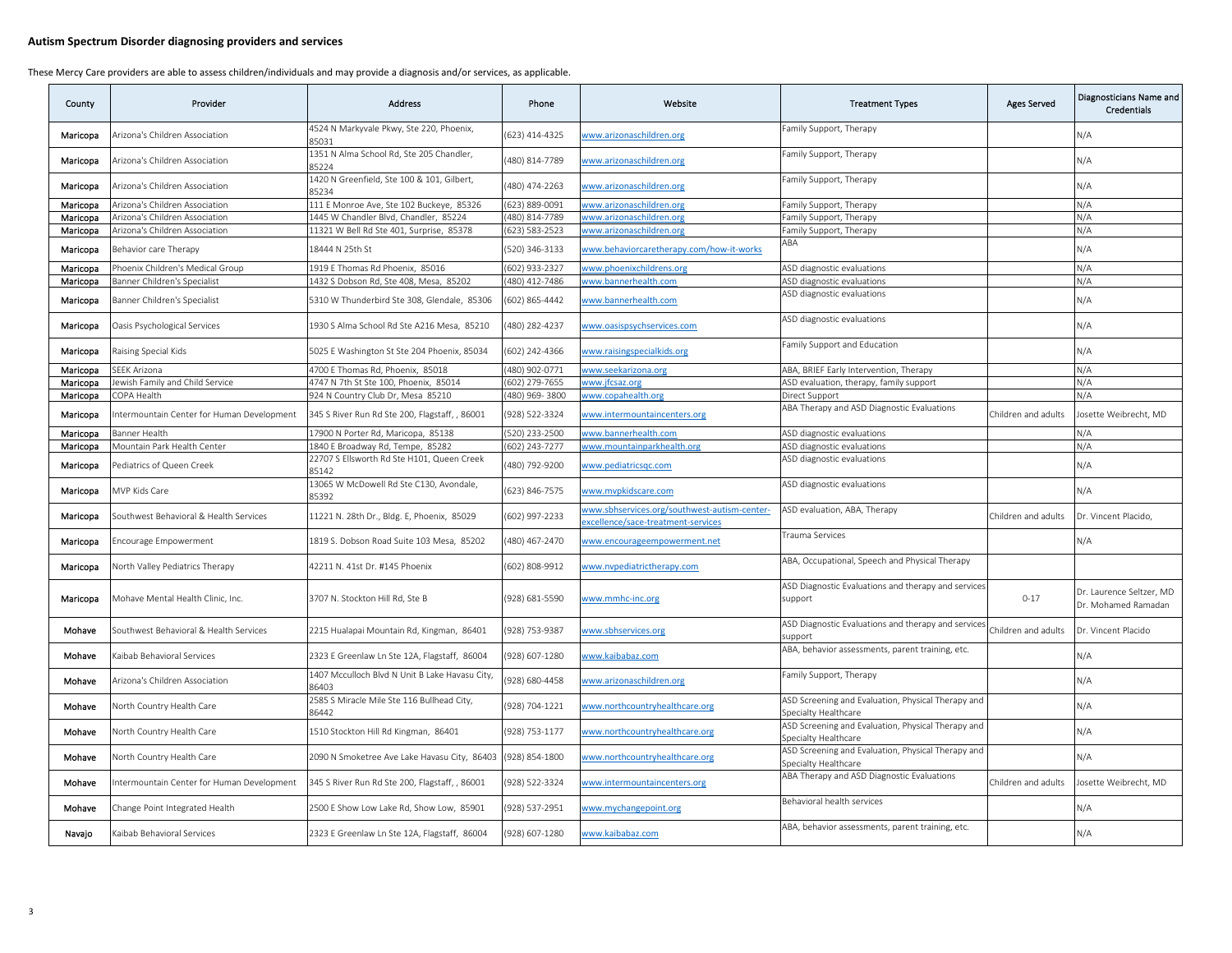| County   | Provider                                   | <b>Address</b>                                          | Phone         | Website                                                                           | <b>Treatment Types</b>                                                     | <b>Ages Served</b>  | Diagnosticians Name and<br><b>Credentials</b>   |
|----------|--------------------------------------------|---------------------------------------------------------|---------------|-----------------------------------------------------------------------------------|----------------------------------------------------------------------------|---------------------|-------------------------------------------------|
| Maricopa | Arizona's Children Association             | 4524 N Markyvale Pkwy, Ste 220, Phoenix,<br>35031       | 623) 414-4325 | www.arizonaschildren.org                                                          | Family Support, Therapy                                                    |                     | N/A                                             |
| Maricopa | Arizona's Children Association             | 1351 N Alma School Rd, Ste 205 Chandler,<br>85224       | 480) 814-7789 | www.arizonaschildren.org                                                          | Family Support, Therapy                                                    |                     | N/A                                             |
| Maricopa | Arizona's Children Association             | 1420 N Greenfield, Ste 100 & 101, Gilbert,<br>35234     | 480) 474-2263 | www.arizonaschildren.org                                                          | amily Support, Therapy                                                     |                     | N/A                                             |
| Maricopa | Arizona's Children Association             | 111 E Monroe Ave, Ste 102 Buckeye, 85326                | 623) 889-0091 | www.arizonaschildren.org                                                          | amily Support, Therapy                                                     |                     | N/A                                             |
| Maricopa | Arizona's Children Association             | 1445 W Chandler Blvd, Chandler, 85224                   | 480) 814-7789 | www.arizonaschildren.org                                                          | amily Support, Therapy                                                     |                     | N/A                                             |
| Maricopa | Arizona's Children Association             | 11321 W Bell Rd Ste 401, Surprise, 85378                | 623) 583-2523 | www.arizonaschildren.org                                                          | amily Support, Therapy                                                     |                     | N/A                                             |
| Maricopa | Behavior care Therapy                      | 18444 N 25th St                                         | 520) 346-3133 | www.behaviorcaretherapy.com/how-it-works                                          | ABA                                                                        |                     | N/A                                             |
| Maricopa | Phoenix Children's Medical Group           | 1919 E Thomas Rd Phoenix, 85016                         | 602) 933-2327 | www.phoenixchildrens.org                                                          | ASD diagnostic evaluations                                                 |                     | N/A                                             |
| Maricopa | anner Children's Specialist                | 1432 S Dobson Rd, Ste 408, Mesa, 85202                  | 480) 412-7486 | www.bannerhealth.com                                                              | ASD diagnostic evaluations                                                 |                     | N/A                                             |
| Maricopa | Banner Children's Specialist               | 5310 W Thunderbird Ste 308, Glendale, 85306             | 602) 865-4442 | www.bannerhealth.com                                                              | ASD diagnostic evaluations                                                 |                     | N/A                                             |
| Maricopa | Oasis Psychological Services               | 1930 S Alma School Rd Ste A216 Mesa, 85210              | 480) 282-4237 | www.oasispsychservices.com                                                        | ASD diagnostic evaluations                                                 |                     | N/A                                             |
| Maricopa | Raising Special Kids                       | 5025 E Washington St Ste 204 Phoenix, 85034             | 602) 242-4366 | www.raisingspecialkids.org                                                        | Family Support and Education                                               |                     | N/A                                             |
| Maricopa | EEK Arizona                                | 4700 E Thomas Rd, Phoenix, 85018                        | 480) 902-0771 | www.seekarizona.org                                                               | ABA, BRIEF Early Intervention, Therapy                                     |                     | N/A                                             |
| Maricopa | ewish Family and Child Service             | 4747 N 7th St Ste 100, Phoenix, 85014                   | 602) 279-7655 | www.jfcsaz.org                                                                    | ASD evaluation, therapy, family support                                    |                     | N/A                                             |
| Maricopa | OPA Health                                 | 924 N Country Club Dr, Mesa 85210                       | 480) 969-3800 | www.copahealth.org                                                                | irect Support                                                              |                     | N/A                                             |
| Maricopa | ntermountain Center for Human Development  | 345 S River Run Rd Ste 200, Flagstaff, , 86001          | 928) 522-3324 | www.intermountaincenters.org                                                      | ABA Therapy and ASD Diagnostic Evaluations                                 | Children and adults | Josette Weibrecht, MD                           |
| Maricopa | Banner Health                              | 17900 N Porter Rd, Maricopa, 85138                      | 520) 233-2500 | www.bannerhealth.com                                                              | ASD diagnostic evaluations                                                 |                     | N/A                                             |
| Maricopa | Mountain Park Health Center                | 1840 E Broadway Rd, Tempe, 85282                        | 602) 243-7277 | www.mountainparkhealth.org                                                        | ASD diagnostic evaluations                                                 |                     | N/A                                             |
| Maricopa | ediatrics of Queen Creek                   | 22707 S Ellsworth Rd Ste H101, Queen Creek<br>35142     | 480) 792-9200 | www.pediatricsgc.com                                                              | ASD diagnostic evaluations                                                 |                     | N/A                                             |
| Maricopa | MVP Kids Care                              | 13065 W McDowell Rd Ste C130, Avondale,<br>35392        | 623) 846-7575 | www.mvpkidscare.com                                                               | ASD diagnostic evaluations                                                 |                     | N/A                                             |
| Maricopa | Southwest Behavioral & Health Services     | 11221 N. 28th Dr., Bldg. E, Phoenix, 85029              | 602) 997-2233 | www.sbhservices.org/southwest-autism-center-<br>xcellence/sace-treatment-services | ASD evaluation, ABA, Therapy                                               | Children and adults | Dr. Vincent Placido,                            |
| Maricopa | Encourage Empowerment                      | 1819 S. Dobson Road Suite 103 Mesa, 85202               | 480) 467-2470 | www.encourageempowerment.net                                                      | rauma Services                                                             |                     | N/A                                             |
| Maricopa | North Valley Pediatrics Therapy            | 42211 N. 41st Dr. #145 Phoenix                          | 602) 808-9912 | www.nvpediatrictherapy.com                                                        | ABA, Occupational, Speech and Physical Therapy                             |                     |                                                 |
| Maricopa | Mohave Mental Health Clinic, Inc.          | 3707 N. Stockton Hill Rd. Ste B                         | 928) 681-5590 | www.mmhc-inc.org                                                                  | ASD Diagnostic Evaluations and therapy and services<br>support             | $0 - 17$            | Dr. Laurence Seltzer, MD<br>Dr. Mohamed Ramadan |
| Mohave   | Southwest Behavioral & Health Services     | 2215 Hualapai Mountain Rd, Kingman, 86401               | 928) 753-9387 | www.sbhservices.org                                                               | ASD Diagnostic Evaluations and therapy and services<br>upport              | Children and adults | Dr. Vincent Placido                             |
| Mohave   | Kaibab Behavioral Services                 | 2323 E Greenlaw Ln Ste 12A, Flagstaff, 86004            | 928) 607-1280 | www.kaibabaz.com                                                                  | ABA, behavior assessments, parent training, etc.                           |                     | N/A                                             |
| Monave   | Arizona's Children Association             | 1407 Mcculloch Blvd N Unit B Lake Havasu City,<br>36403 | 928) 680-4458 | www.arizonaschildren.org                                                          | Family Support, Therapy                                                    |                     | N/A                                             |
| Mohave   | North Country Health Care                  | 2585 S Miracle Mile Ste 116 Bullhead City,<br>36442     | 928) 704-1221 | www.northcountryhealthcare.org                                                    | ASD Screening and Evaluation, Physical Therapy and<br>Specialty Healthcare |                     | N/A                                             |
| Mohave   | North Country Health Care                  | 1510 Stockton Hill Rd Kingman, 86401                    | 928) 753-1177 | www.northcountryhealthcare.org                                                    | ASD Screening and Evaluation, Physical Therapy and<br>Specialty Healthcare |                     | N/A                                             |
| Mohave   | North Country Health Care                  | 2090 N Smoketree Ave Lake Havasu City, 86403            | 928) 854-1800 | www.northcountryhealthcare.org                                                    | ASD Screening and Evaluation, Physical Therapy and<br>Specialty Healthcare |                     | N/A                                             |
| Mohave   | Intermountain Center for Human Development | 345 S River Run Rd Ste 200, Flagstaff, , 86001          | 928) 522-3324 | www.intermountaincenters.org                                                      | ABA Therapy and ASD Diagnostic Evaluations                                 | Children and adults | Josette Weibrecht, MD                           |
| Mohave   | Change Point Integrated Health             | 2500 E Show Low Lake Rd, Show Low, 85901                | 928) 537-2951 | www.mychangepoint.org                                                             | Behavioral health services                                                 |                     | N/A                                             |
| Navajo   | Kaibab Behavioral Services                 | 2323 E Greenlaw Ln Ste 12A, Flagstaff, 86004            | 928) 607-1280 | www.kaibabaz.com                                                                  | ABA, behavior assessments, parent training, etc.                           |                     | N/A                                             |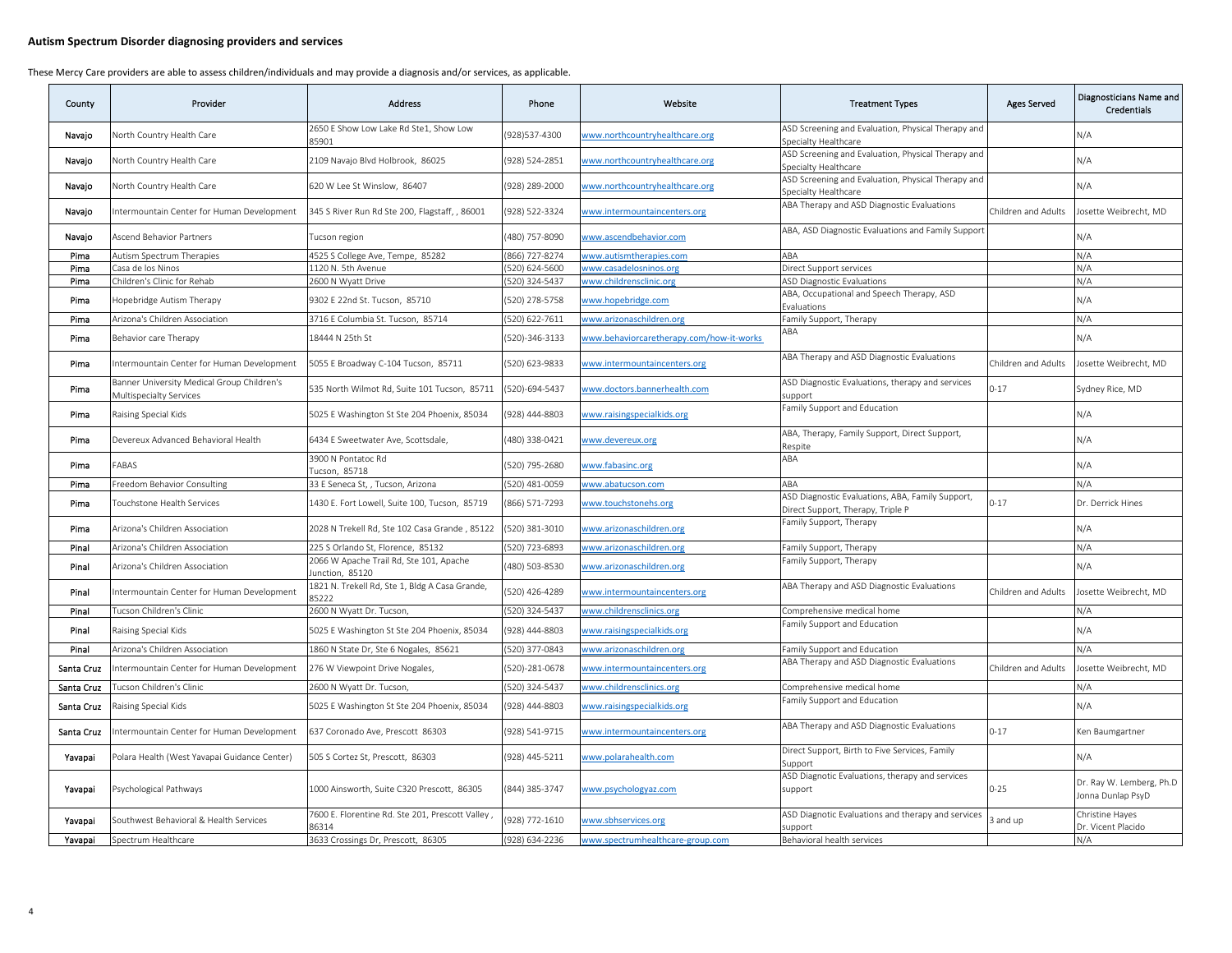| County     | Provider                                                              | <b>Address</b>                                            | Phone         | Website                                  | <b>Treatment Types</b>                                                                | <b>Ages Served</b>  | Diagnosticians Name and<br><b>Credentials</b> |
|------------|-----------------------------------------------------------------------|-----------------------------------------------------------|---------------|------------------------------------------|---------------------------------------------------------------------------------------|---------------------|-----------------------------------------------|
| Navaio     | North Country Health Care                                             | 2650 E Show Low Lake Rd Ste1, Show Low<br>35901           | 928)537-4300  | www.northcountryhealthcare.org           | ASD Screening and Evaluation, Physical Therapy and<br>Specialty Healthcare            |                     | N/A                                           |
| Navajo     | North Country Health Care                                             | 2109 Navajo Blvd Holbrook, 86025                          | 928) 524-2851 | www.northcountryhealthcare.org           | ASD Screening and Evaluation, Physical Therapy and<br>Specialty Healthcare            |                     | N/A                                           |
| Navajo     | North Country Health Care                                             | 620 W Lee St Winslow, 86407                               | 928) 289-2000 | www.northcountryhealthcare.org           | ASD Screening and Evaluation, Physical Therapy and<br>Specialty Healthcare            |                     | N/A                                           |
| Navajo     | ntermountain Center for Human Development                             | 345 S River Run Rd Ste 200, Flagstaff, , 86001            | 928) 522-3324 | www.intermountaincenters.org             | ABA Therapy and ASD Diagnostic Evaluations                                            | Children and Adults | Josette Weibrecht, MD                         |
| Navajo     | Ascend Behavior Partners                                              | Fucson region                                             | 480) 757-8090 | www.ascendbehavior.com                   | ABA, ASD Diagnostic Evaluations and Family Support                                    |                     | N/A                                           |
| Pima       | Autism Spectrum Therapies                                             | 4525 S College Ave, Tempe, 85282                          | 866) 727-8274 | www.autismtherapies.com                  | ABA                                                                                   |                     | N/A                                           |
| Pima       | Casa de los Ninos                                                     | 1120 N. 5th Avenue                                        | 520) 624-5600 | www.casadelosninos.org                   | Direct Support services                                                               |                     | N/A                                           |
| Pima       | Children's Clinic for Rehab                                           | 2600 N Wyatt Drive                                        | 520) 324-5437 | www.childrensclinic.org                  | <b>ASD Diagnostic Evaluations</b>                                                     |                     | N/A                                           |
| Pima       | Hopebridge Autism Therapy                                             | 9302 E 22nd St. Tucson, 85710                             | 520) 278-5758 | www.hopebridge.com                       | ABA, Occupational and Speech Therapy, ASD<br>Evaluations                              |                     | N/A                                           |
| Pima       | Arizona's Children Association                                        | 3716 E Columbia St. Tucson, 85714                         | 520) 622-7611 | www.arizonaschildren.org                 | Family Support, Therapy                                                               |                     | N/A                                           |
| Pima       | Behavior care Therapy                                                 | 18444 N 25th St                                           | 520)-346-3133 | www.behaviorcaretherapy.com/how-it-works | ABA                                                                                   |                     | N/A                                           |
| Pima       | Intermountain Center for Human Development                            | 5055 E Broadway C-104 Tucson, 85711                       | 520) 623-9833 | www.intermountaincenters.org             | ABA Therapy and ASD Diagnostic Evaluations                                            | Children and Adults | Josette Weibrecht, MD                         |
| Pima       | Banner University Medical Group Children's<br>Multispecialty Services | 535 North Wilmot Rd, Suite 101 Tucson, 85711              | 520)-694-5437 | vww.doctors.bannerhealth.com             | ASD Diagnostic Evaluations, therapy and services<br>upport                            | $0 - 17$            | Sydney Rice, MD                               |
| Pima       | Raising Special Kids                                                  | 5025 E Washington St Ste 204 Phoenix, 85034               | 928) 444-8803 | vww.raisingspecialkids.org               | Family Support and Education                                                          |                     | N/A                                           |
| Pima       | Devereux Advanced Behavioral Health                                   | 6434 E Sweetwater Ave, Scottsdale,                        | 480) 338-0421 | www.devereux.org                         | ABA, Therapy, Family Support, Direct Support,<br>Respite                              |                     | N/A                                           |
| Pima       | FABAS                                                                 | 3900 N Pontatoc Rd<br>ucson, 85718                        | 520) 795-2680 | www.fabasinc.org                         | ABA                                                                                   |                     | N/A                                           |
| Pima       | Freedom Behavior Consulting                                           | 33 E Seneca St, , Tucson, Arizona                         | 520) 481-0059 | www.abatucson.com                        | <b>ABA</b>                                                                            |                     | N/A                                           |
| Pima       | Touchstone Health Services                                            | 1430 E. Fort Lowell, Suite 100, Tucson, 85719             | 866) 571-7293 | www.touchstonehs.org                     | ASD Diagnostic Evaluations, ABA, Family Support,<br>Direct Support, Therapy, Triple P | $0 - 17$            | Dr. Derrick Hines                             |
| Pima       | Arizona's Children Association                                        | 2028 N Trekell Rd, Ste 102 Casa Grande, 85122             | 520) 381-3010 | vww.arizonaschildren.org                 | Family Support, Therapy                                                               |                     | N/A                                           |
| Pinal      | Arizona's Children Association                                        | 225 S Orlando St, Florence, 85132                         | 520) 723-6893 | www.arizonaschildren.org                 | amily Support, Therapy                                                                |                     | N/A                                           |
| Pinal      | Arizona's Children Association                                        | 2066 W Apache Trail Rd, Ste 101, Apache<br>unction, 85120 | 480) 503-8530 | www.arizonaschildren.org                 | Family Support, Therapy                                                               |                     | N/A                                           |
| Pinal      | Intermountain Center for Human Development                            | 1821 N. Trekell Rd, Ste 1, Bldg A Casa Grande,<br>35222   | 520) 426-4289 | www.intermountaincenters.org             | ABA Therapy and ASD Diagnostic Evaluations                                            | Children and Adults | Josette Weibrecht, MD                         |
| Pinal      | Tucson Children's Clinic                                              | 2600 N Wyatt Dr. Tucson,                                  | 520) 324-5437 | www.childrensclinics.org                 | Comprehensive medical home                                                            |                     | N/A                                           |
| Pinal      | Raising Special Kids                                                  | 5025 E Washington St Ste 204 Phoenix, 85034               | 928) 444-8803 | www.raisingspecialkids.org               | amily Support and Education                                                           |                     | N/A                                           |
| Pinal      | Arizona's Children Association                                        | 1860 N State Dr, Ste 6 Nogales, 85621                     | 520) 377-0843 | www.arizonaschildren.org                 | amily Support and Education                                                           |                     | N/A                                           |
| Santa Cruz | ntermountain Center for Human Development                             | 276 W Viewpoint Drive Nogales,                            | 520)-281-0678 | www.intermountaincenters.org             | ABA Therapy and ASD Diagnostic Evaluations                                            | Children and Adults | Josette Weibrecht, MD                         |
| Santa Cruz | ucson Children's Clinic                                               | 2600 N Wyatt Dr. Tucson,                                  | 520) 324-5437 | www.childrensclinics.org                 | Comprehensive medical home                                                            |                     | N/A                                           |
| Santa Cruz | Raising Special Kids                                                  | 5025 E Washington St Ste 204 Phoenix, 85034               | 928) 444-8803 | www.raisingspecialkids.org               | Family Support and Education                                                          |                     | N/A                                           |
| Santa Cruz | ntermountain Center for Human Development                             | 637 Coronado Ave, Prescott 86303                          | 928) 541-9715 | www.intermountaincenters.org             | ABA Therapy and ASD Diagnostic Evaluations                                            | $0 - 17$            | Ken Baumgartner                               |
| Yavapai    | Polara Health (West Yavapai Guidance Center)                          | 505 S Cortez St, Prescott, 86303                          | 928) 445-5211 | www.polarahealth.com                     | Direct Support, Birth to Five Services, Family<br>upport                              |                     | N/A                                           |
| Yavapai    | Psychological Pathways                                                | 1000 Ainsworth, Suite C320 Prescott, 86305                | 844) 385-3747 | www.psychologyaz.com                     | ASD Diagnotic Evaluations, therapy and services<br>support                            | $0 - 25$            | Dr. Ray W. Lemberg, Ph.D<br>Jonna Dunlap PsyD |
| Yavapai    | Southwest Behavioral & Health Services                                | 7600 E. Florentine Rd. Ste 201, Prescott Valley,<br>36314 | 928) 772-1610 | www.sbhservices.org                      | ASD Diagnotic Evaluations and therapy and services<br>upport                          | 3 and up            | Christine Hayes<br>Dr. Vicent Placido         |
| Yavapai    | Spectrum Healthcare                                                   | 3633 Crossings Dr, Prescott, 86305                        | 928) 634-2236 | www.spectrumhealthcare-group.com         | Behavioral health services                                                            |                     | N/A                                           |